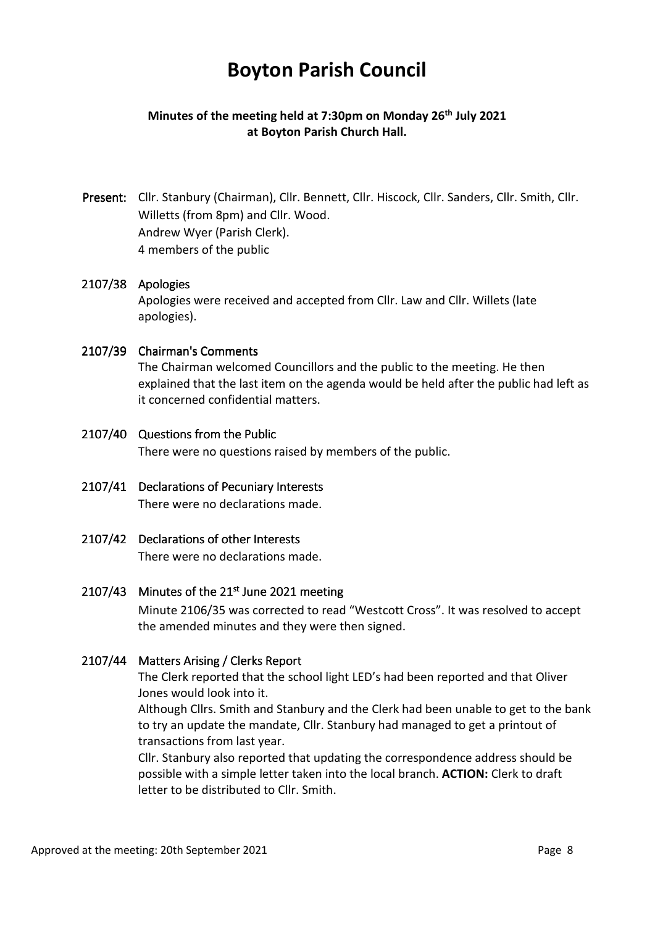# **Boyton Parish Council**

# **Minutes of the meeting held at 7:30pm on Monday 26th July 2021 at Boyton Parish Church Hall.**

Present: Cllr. Stanbury (Chairman), Cllr. Bennett, Cllr. Hiscock, Cllr. Sanders, Cllr. Smith, Cllr. Willetts (from 8pm) and Cllr. Wood. Andrew Wyer (Parish Clerk). 4 members of the public

#### 2107/38 Apologies

Apologies were received and accepted from Cllr. Law and Cllr. Willets (late apologies).

#### 2107/39 Chairman's Comments

The Chairman welcomed Councillors and the public to the meeting. He then explained that the last item on the agenda would be held after the public had left as it concerned confidential matters.

# 2107/40 Questions from the Public There were no questions raised by members of the public.

- 2107/41 Declarations of Pecuniary Interests There were no declarations made.
- 2107/42 Declarations of other Interests There were no declarations made.

# $2107/43$  Minutes of the  $21<sup>st</sup>$  June 2021 meeting

Minute 2106/35 was corrected to read "Westcott Cross". It was resolved to accept the amended minutes and they were then signed.

# 2107/44 Matters Arising / Clerks Report

The Clerk reported that the school light LED's had been reported and that Oliver Jones would look into it.

Although Cllrs. Smith and Stanbury and the Clerk had been unable to get to the bank to try an update the mandate, Cllr. Stanbury had managed to get a printout of transactions from last year.

Cllr. Stanbury also reported that updating the correspondence address should be possible with a simple letter taken into the local branch. **ACTION:** Clerk to draft letter to be distributed to Cllr. Smith.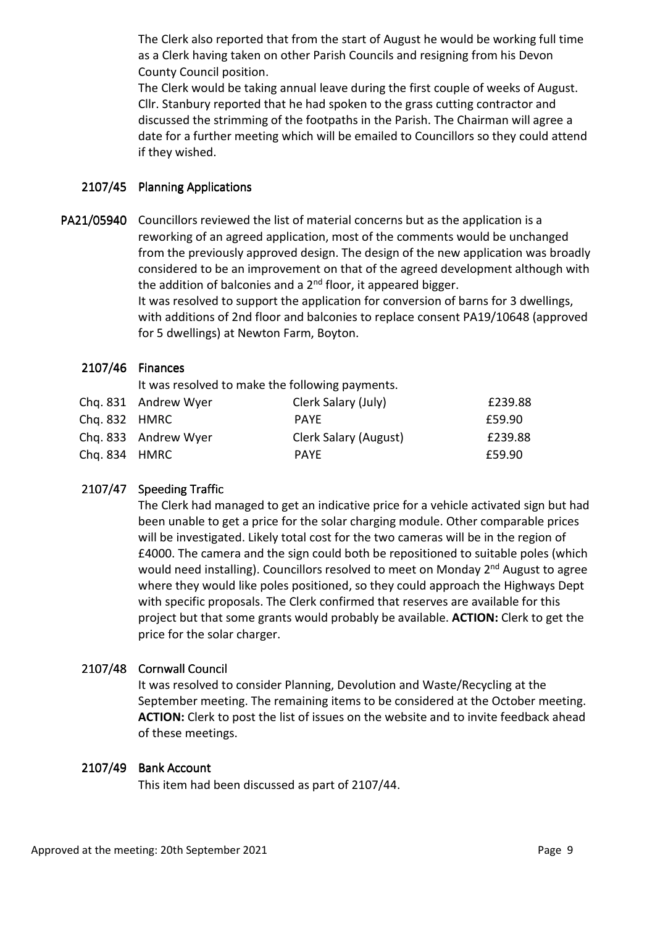The Clerk also reported that from the start of August he would be working full time as a Clerk having taken on other Parish Councils and resigning from his Devon County Council position.

The Clerk would be taking annual leave during the first couple of weeks of August. Cllr. Stanbury reported that he had spoken to the grass cutting contractor and discussed the strimming of the footpaths in the Parish. The Chairman will agree a date for a further meeting which will be emailed to Councillors so they could attend if they wished.

#### 2107/45 Planning Applications

PA21/05940 Councillors reviewed the list of material concerns but as the application is a reworking of an agreed application, most of the comments would be unchanged from the previously approved design. The design of the new application was broadly considered to be an improvement on that of the agreed development although with the addition of balconies and a  $2^{nd}$  floor, it appeared bigger. It was resolved to support the application for conversion of barns for 3 dwellings, with additions of 2nd floor and balconies to replace consent PA19/10648 (approved for 5 dwellings) at Newton Farm, Boyton.

#### $2107/46$  Finances

It was resolved to make the following payments.

| Chq. 832 HMRC | Chq. 831 Andrew Wyer | Clerk Salary (July)   | £239.88 |
|---------------|----------------------|-----------------------|---------|
|               |                      | <b>PAYF</b>           | £59.90  |
|               | Chq. 833 Andrew Wyer | Clerk Salary (August) | £239.88 |
| Chq. 834 HMRC |                      | <b>PAYE</b>           | £59.90  |

# 2107/47 Speeding Traffic

The Clerk had managed to get an indicative price for a vehicle activated sign but had been unable to get a price for the solar charging module. Other comparable prices will be investigated. Likely total cost for the two cameras will be in the region of £4000. The camera and the sign could both be repositioned to suitable poles (which would need installing). Councillors resolved to meet on Monday 2<sup>nd</sup> August to agree where they would like poles positioned, so they could approach the Highways Dept with specific proposals. The Clerk confirmed that reserves are available for this project but that some grants would probably be available. **ACTION:** Clerk to get the price for the solar charger.

# 2107/48 Cornwall Council

It was resolved to consider Planning, Devolution and Waste/Recycling at the September meeting. The remaining items to be considered at the October meeting. **ACTION:** Clerk to post the list of issues on the website and to invite feedback ahead of these meetings.

#### 2107/49 Bank Account

This item had been discussed as part of 2107/44.